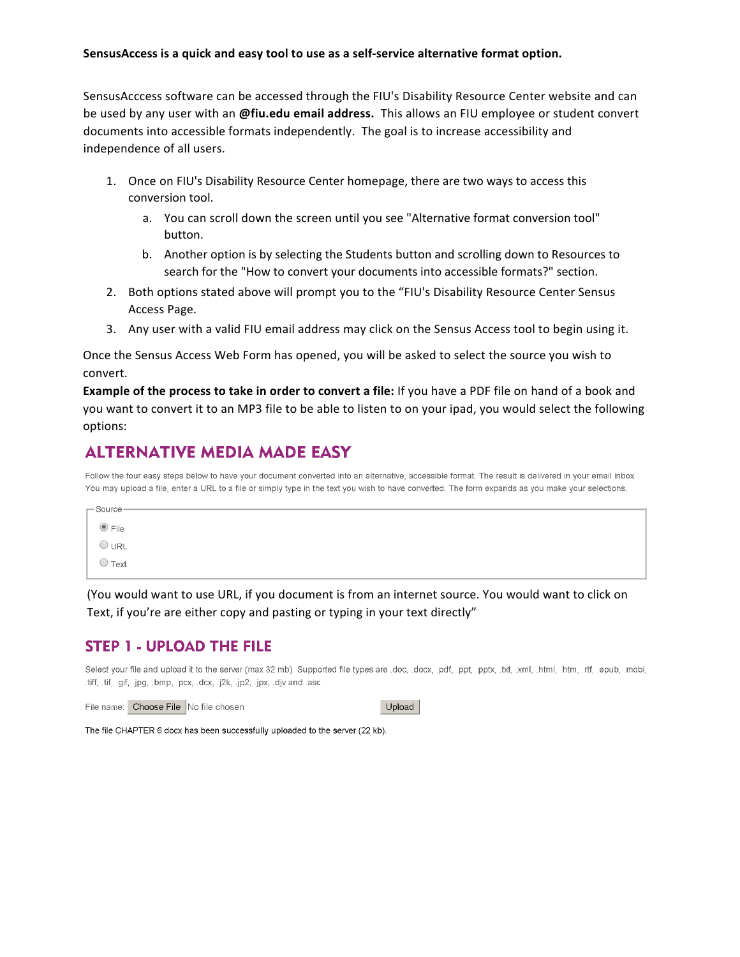#### **SensusAccess is a quick and easy tool to use as a self-service alternative format option.**

SensusAcccess software can be accessed through the FIU's Disability Resource Center website and can be used by any user with an @fiu.edu email address. This allows an FIU employee or student convert documents into accessible formats independently. The goal is to increase accessibility and independence of all users.

- 1. Once on FIU's Disability Resource Center homepage, there are two ways to access this conversion tool.
	- a. You can scroll down the screen until you see "Alternative format conversion tool" button.
	- b. Another option is by selecting the Students button and scrolling down to Resources to search for the "How to convert your documents into accessible formats?" section.
- 2. Both options stated above will prompt you to the "FIU's Disability Resource Center Sensus Access Page.
- 3. Any user with a valid FIU email address may click on the Sensus Access tool to begin using it.

Once the Sensus Access Web Form has opened, you will be asked to select the source you wish to convert.

**Example of the process to take in order to convert a file:** If you have a PDF file on hand of a book and you want to convert it to an MP3 file to be able to listen to on your ipad, you would select the following options: 

#### **ALTERNATIVE MEDIA MADE EASY**

Follow the four easy steps below to have your document converted into an alternative, accessible format. The result is delivered in your email inbox. You may upload a file, enter a URL to a file or simply type in the text you wish to have converted. The form expands as you make your selections.

| $-$ Source $-$  |  |  |
|-----------------|--|--|
|                 |  |  |
| $\odot$ File    |  |  |
| $\bigcirc$ url  |  |  |
| $\bigcirc$ Text |  |  |
|                 |  |  |

(You would want to use URL, if you document is from an internet source. You would want to click on Text, if you're are either copy and pasting or typing in your text directly"

#### **STEP 1 - UPLOAD THE FILE**

Select your file and upload it to the server (max 32 mb). Supported file types are .doc, .docx, .pdf, .ppt, .ppt, .txt, .xml, .html, .htm, .rtf, .epub, .mobi, .tiff, .tif, .gif, .jpg, .bmp, .pcx, .dcx, .j2k, .jp2, .jpx, .djv and .asc

File name: Choose File No file chosen

Upload

The file CHAPTER 6.docx has been successfully uploaded to the server (22 kb).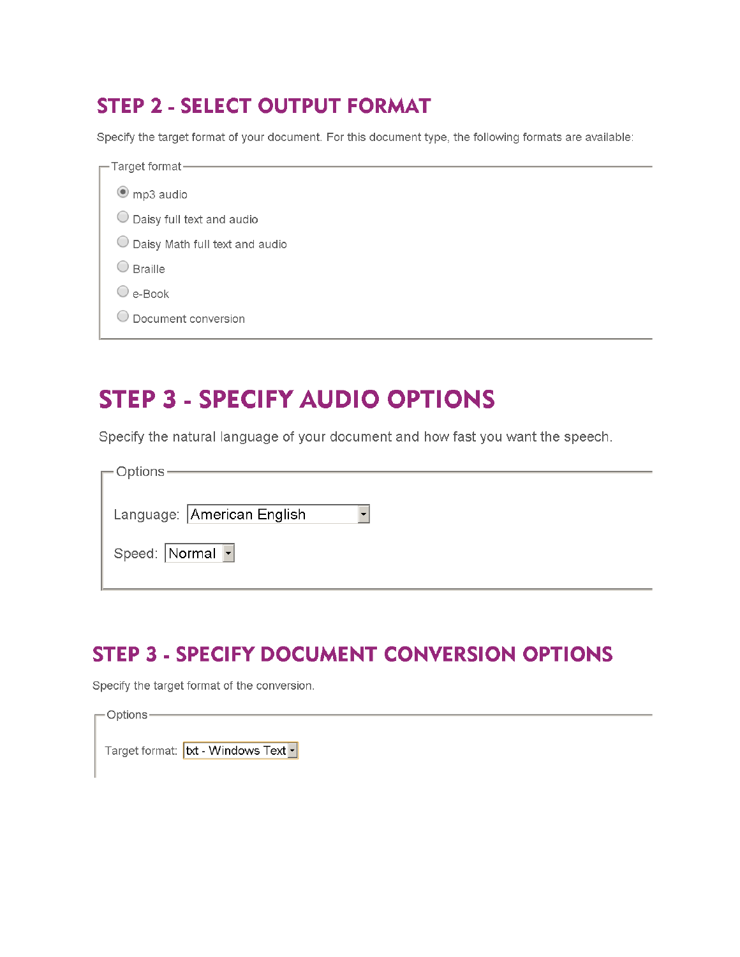### **STEP 2 - SELECT OUTPUT FORMAT**

Specify the target format of your document. For this document type, the following formats are available:

| $\overline{\phantom{1}}$ Target format – |  |  |  |  |
|------------------------------------------|--|--|--|--|
|                                          |  |  |  |  |
| $\bullet$ mp3 audio                      |  |  |  |  |
| Daisy full text and audio                |  |  |  |  |
| Daisy Math full text and audio           |  |  |  |  |
| <b>Braille</b>                           |  |  |  |  |
| $\cup$ e-Book                            |  |  |  |  |
| Document conversion                      |  |  |  |  |
|                                          |  |  |  |  |

# **STEP 3 - SPECIFY AUDIO OPTIONS**

Specify the natural language of your document and how fast you want the speech.

| — Options ·                |
|----------------------------|
|                            |
| Language: American English |
| Speed: Normal  -           |

### **STEP 3 - SPECIFY DOCUMENT CONVERSION OPTIONS**

Specify the target format of the conversion.

| $\Gamma$ Options -                               |  |
|--------------------------------------------------|--|
| Target format: txt - Windows Text <mark>▼</mark> |  |